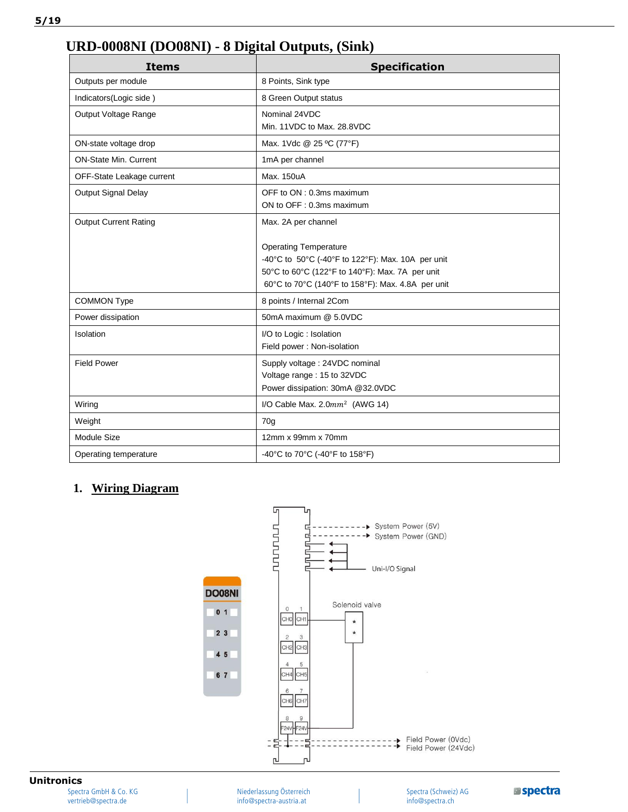## **URD-0008NI (DO08NI) - 8 Digital Outputs, (Sink)**

| <b>Items</b>                 | <b>Specification</b>                              |  |
|------------------------------|---------------------------------------------------|--|
| Outputs per module           | 8 Points, Sink type                               |  |
| Indicators(Logic side)       | 8 Green Output status                             |  |
| Output Voltage Range         | Nominal 24VDC                                     |  |
|                              | Min. 11VDC to Max. 28.8VDC                        |  |
| ON-state voltage drop        | Max. 1Vdc @ 25 °C (77°F)                          |  |
| <b>ON-State Min. Current</b> | 1mA per channel                                   |  |
| OFF-State Leakage current    | Max. 150uA                                        |  |
| <b>Output Signal Delay</b>   | OFF to ON : 0.3ms maximum                         |  |
|                              | ON to OFF: 0.3ms maximum                          |  |
| <b>Output Current Rating</b> | Max. 2A per channel                               |  |
|                              | <b>Operating Temperature</b>                      |  |
|                              | -40°C to 50°C (-40°F to 122°F): Max. 10A per unit |  |
|                              | 50°C to 60°C (122°F to 140°F): Max. 7A per unit   |  |
|                              | 60°C to 70°C (140°F to 158°F): Max. 4.8A per unit |  |
| <b>COMMON Type</b>           | 8 points / Internal 2Com                          |  |
| Power dissipation            | 50mA maximum @ 5.0VDC                             |  |
| Isolation                    | I/O to Logic : Isolation                          |  |
|                              | Field power: Non-isolation                        |  |
| <b>Field Power</b>           | Supply voltage: 24VDC nominal                     |  |
|                              | Voltage range: 15 to 32VDC                        |  |
|                              | Power dissipation: 30mA @32.0VDC                  |  |
| Wiring                       | I/O Cable Max. $2.0mm^2$ (AWG 14)                 |  |
| Weight                       | 70q                                               |  |
| <b>Module Size</b>           | 12mm x 99mm x 70mm                                |  |
| Operating temperature        | -40°C to 70°C (-40°F to 158°F)                    |  |

## **1. Wiring Diagram**



## **Unitronics**

Spectra GmbH & Co. KG vertrieb@spectra.de

Niederlassung Österreich info@spectra-austria.at

Spectra (Schweiz) AG info@spectra.ch